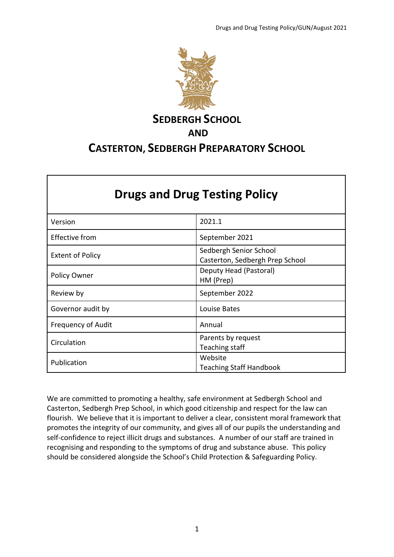

# **SEDBERGH SCHOOL AND CASTERTON, SEDBERGH PREPARATORY SCHOOL**

| <b>Drugs and Drug Testing Policy</b> |                                                           |  |  |
|--------------------------------------|-----------------------------------------------------------|--|--|
| Version                              | 2021.1                                                    |  |  |
| <b>Effective from</b>                | September 2021                                            |  |  |
| <b>Extent of Policy</b>              | Sedbergh Senior School<br>Casterton, Sedbergh Prep School |  |  |
| <b>Policy Owner</b>                  | Deputy Head (Pastoral)<br>HM (Prep)                       |  |  |
| Review by                            | September 2022                                            |  |  |
| Governor audit by                    | Louise Bates                                              |  |  |
| <b>Frequency of Audit</b>            | Annual                                                    |  |  |
| Circulation                          | Parents by request<br>Teaching staff                      |  |  |
| Publication                          | Website<br><b>Teaching Staff Handbook</b>                 |  |  |

We are committed to promoting a healthy, safe environment at Sedbergh School and Casterton, Sedbergh Prep School, in which good citizenship and respect for the law can flourish. We believe that it is important to deliver a clear, consistent moral framework that promotes the integrity of our community, and gives all of our pupils the understanding and self-confidence to reject illicit drugs and substances. A number of our staff are trained in recognising and responding to the symptoms of drug and substance abuse. This policy should be considered alongside the School's Child Protection & Safeguarding Policy.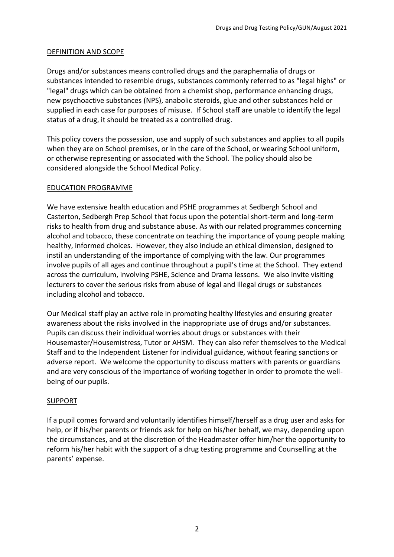#### DEFINITION AND SCOPE

Drugs and/or substances means controlled drugs and the paraphernalia of drugs or substances intended to resemble drugs, substances commonly referred to as "legal highs" or "legal" drugs which can be obtained from a chemist shop, performance enhancing drugs, new psychoactive substances (NPS), anabolic steroids, glue and other substances held or supplied in each case for purposes of misuse. If School staff are unable to identify the legal status of a drug, it should be treated as a controlled drug.

This policy covers the possession, use and supply of such substances and applies to all pupils when they are on School premises, or in the care of the School, or wearing School uniform, or otherwise representing or associated with the School. The policy should also be considered alongside the School Medical Policy.

#### EDUCATION PROGRAMME

We have extensive health education and PSHE programmes at Sedbergh School and Casterton, Sedbergh Prep School that focus upon the potential short-term and long-term risks to health from drug and substance abuse. As with our related programmes concerning alcohol and tobacco, these concentrate on teaching the importance of young people making healthy, informed choices. However, they also include an ethical dimension, designed to instil an understanding of the importance of complying with the law. Our programmes involve pupils of all ages and continue throughout a pupil's time at the School. They extend across the curriculum, involving PSHE, Science and Drama lessons. We also invite visiting lecturers to cover the serious risks from abuse of legal and illegal drugs or substances including alcohol and tobacco.

Our Medical staff play an active role in promoting healthy lifestyles and ensuring greater awareness about the risks involved in the inappropriate use of drugs and/or substances. Pupils can discuss their individual worries about drugs or substances with their Housemaster/Housemistress, Tutor or AHSM. They can also refer themselves to the Medical Staff and to the Independent Listener for individual guidance, without fearing sanctions or adverse report. We welcome the opportunity to discuss matters with parents or guardians and are very conscious of the importance of working together in order to promote the wellbeing of our pupils.

#### SUPPORT

If a pupil comes forward and voluntarily identifies himself/herself as a drug user and asks for help, or if his/her parents or friends ask for help on his/her behalf, we may, depending upon the circumstances, and at the discretion of the Headmaster offer him/her the opportunity to reform his/her habit with the support of a drug testing programme and Counselling at the parents' expense.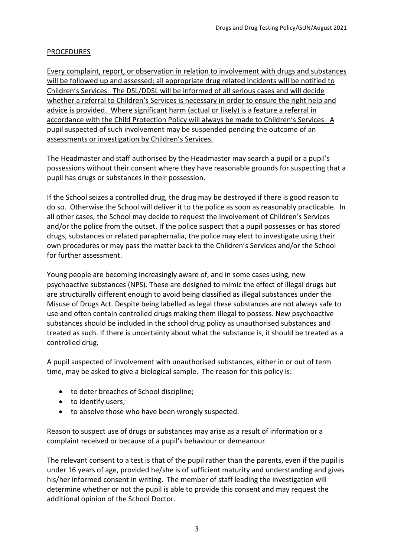### PROCEDURES

Every complaint, report, or observation in relation to involvement with drugs and substances will be followed up and assessed; all appropriate drug related incidents will be notified to Children's Services. The DSL/DDSL will be informed of all serious cases and will decide whether a referral to Children's Services is necessary in order to ensure the right help and advice is provided. Where significant harm (actual or likely) is a feature a referral in accordance with the Child Protection Policy will always be made to Children's Services. A pupil suspected of such involvement may be suspended pending the outcome of an assessments or investigation by Children's Services.

The Headmaster and staff authorised by the Headmaster may search a pupil or a pupil's possessions without their consent where they have reasonable grounds for suspecting that a pupil has drugs or substances in their possession.

If the School seizes a controlled drug, the drug may be destroyed if there is good reason to do so. Otherwise the School will deliver it to the police as soon as reasonably practicable. In all other cases, the School may decide to request the involvement of Children's Services and/or the police from the outset. If the police suspect that a pupil possesses or has stored drugs, substances or related paraphernalia, the police may elect to investigate using their own procedures or may pass the matter back to the Children's Services and/or the School for further assessment.

Young people are becoming increasingly aware of, and in some cases using, new psychoactive substances (NPS). These are designed to mimic the effect of illegal drugs but are structurally different enough to avoid being classified as illegal substances under the Misuse of Drugs Act. Despite being labelled as legal these substances are not always safe to use and often contain controlled drugs making them illegal to possess. New psychoactive substances should be included in the school drug policy as unauthorised substances and treated as such. If there is uncertainty about what the substance is, it should be treated as a controlled drug.

A pupil suspected of involvement with unauthorised substances, either in or out of term time, may be asked to give a biological sample. The reason for this policy is:

- to deter breaches of School discipline;
- to identify users;
- to absolve those who have been wrongly suspected.

Reason to suspect use of drugs or substances may arise as a result of information or a complaint received or because of a pupil's behaviour or demeanour.

The relevant consent to a test is that of the pupil rather than the parents, even if the pupil is under 16 years of age, provided he/she is of sufficient maturity and understanding and gives his/her informed consent in writing. The member of staff leading the investigation will determine whether or not the pupil is able to provide this consent and may request the additional opinion of the School Doctor.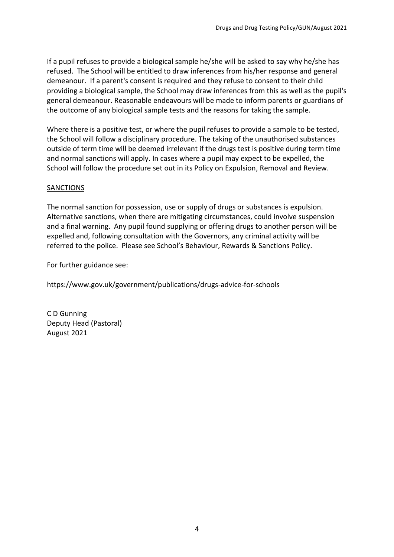If a pupil refuses to provide a biological sample he/she will be asked to say why he/she has refused. The School will be entitled to draw inferences from his/her response and general demeanour. If a parent's consent is required and they refuse to consent to their child providing a biological sample, the School may draw inferences from this as well as the pupil's general demeanour. Reasonable endeavours will be made to inform parents or guardians of the outcome of any biological sample tests and the reasons for taking the sample.

Where there is a positive test, or where the pupil refuses to provide a sample to be tested, the School will follow a disciplinary procedure. The taking of the unauthorised substances outside of term time will be deemed irrelevant if the drugs test is positive during term time and normal sanctions will apply. In cases where a pupil may expect to be expelled, the School will follow the procedure set out in its Policy on Expulsion, Removal and Review.

#### SANCTIONS

The normal sanction for possession, use or supply of drugs or substances is expulsion. Alternative sanctions, when there are mitigating circumstances, could involve suspension and a final warning. Any pupil found supplying or offering drugs to another person will be expelled and, following consultation with the Governors, any criminal activity will be referred to the police. Please see School's Behaviour, Rewards & Sanctions Policy.

For further guidance see:

https://www.gov.uk/government/publications/drugs-advice-for-schools

C D Gunning Deputy Head (Pastoral) August 2021